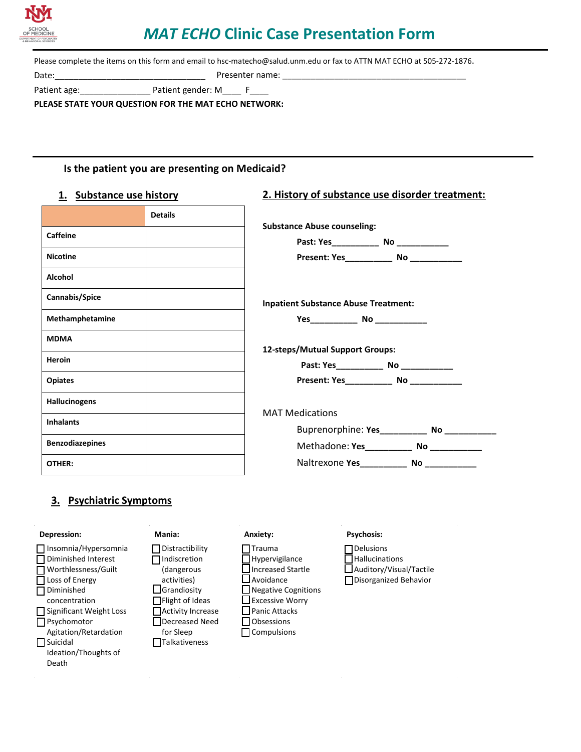

# *MAT ECHO* **Clinic Case Presentation Form**

Please complete the items on this form and email to hsc-matecho@salud.unm.edu or fax to ATTN MAT ECHO at 505-272-1876.

Date: The contract of the contract of the Presenter name:

Patient age: example a patient gender: M\_\_\_\_ F\_\_\_\_

**PLEASE STATE YOUR QUESTION FOR THE MAT ECHO NETWORK:** 

#### **Is the patient you are presenting on Medicaid?**

#### **1. Substance use history**

# **2. History of substance use disorder treatment:**

|                      | <b>Details</b> |
|----------------------|----------------|
| <b>Caffeine</b>      |                |
| <b>Nicotine</b>      |                |
| Alcohol              |                |
| Cannabis/Spice       |                |
| Methamphetamine      |                |
| <b>MDMA</b>          |                |
| <b>Heroin</b>        |                |
| <b>Opiates</b>       |                |
| <b>Hallucinogens</b> |                |
| <b>Inhalants</b>     |                |
| Benzodiazepines      |                |
| OTHER:               |                |

| Present: Yes_____________ No _____________   |  |  |
|----------------------------------------------|--|--|
| <b>Inpatient Substance Abuse Treatment:</b>  |  |  |
|                                              |  |  |
|                                              |  |  |
| 12-steps/Mutual Support Groups:              |  |  |
|                                              |  |  |
| Present: Yes ______________ No _____________ |  |  |
| <b>MAT Medications</b>                       |  |  |
|                                              |  |  |
| Methadone: Yes______________ No ____________ |  |  |

# **3. Psychiatric Symptoms**